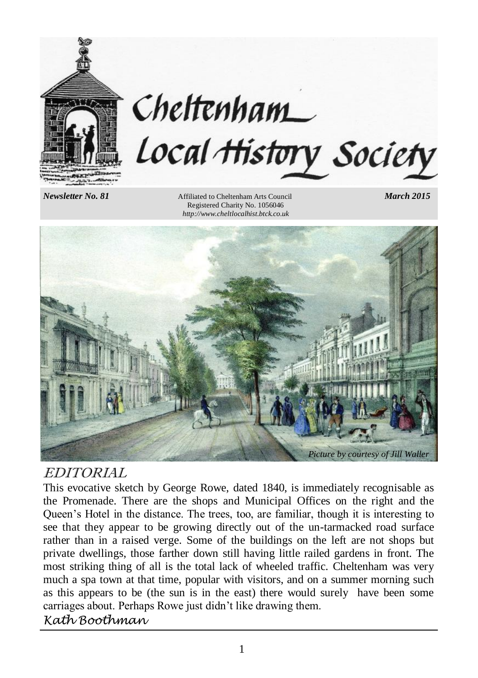

# Cheltenham Local History Society

*Newsletter No. 81* Affiliated to Cheltenham Arts Council *March 2015* Registered Charity No. 1056046 *http://www.cheltlocalhist.btck.co.uk*



# EDITORIAL

This evocative sketch by George Rowe, dated 1840, is immediately recognisable as the Promenade. There are the shops and Municipal Offices on the right and the Queen's Hotel in the distance. The trees, too, are familiar, though it is interesting to see that they appear to be growing directly out of the un-tarmacked road surface rather than in a raised verge. Some of the buildings on the left are not shops but private dwellings, those farther down still having little railed gardens in front. The most striking thing of all is the total lack of wheeled traffic. Cheltenham was very much a spa town at that time, popular with visitors, and on a summer morning such as this appears to be (the sun is in the east) there would surely have been some carriages about. Perhaps Rowe just didn't like drawing them.

# *Kath Boothman*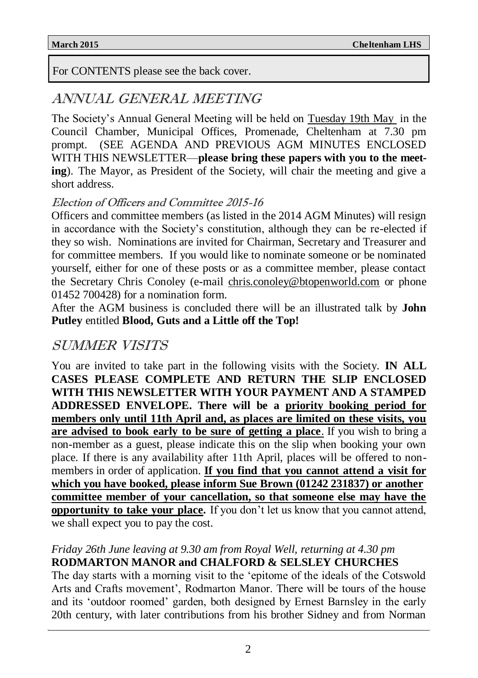For CONTENTS please see the back cover.

# ANNUAL GENERAL MEETING

The Society's Annual General Meeting will be held on Tuesday 19th May in the Council Chamber, Municipal Offices, Promenade, Cheltenham at 7.30 pm prompt. (SEE AGENDA AND PREVIOUS AGM MINUTES ENCLOSED WITH THIS NEWSLETTER—**please bring these papers with you to the meeting**). The Mayor, as President of the Society, will chair the meeting and give a short address.

### Election of Officers and Committee 2015-16

Officers and committee members (as listed in the 2014 AGM Minutes) will resign in accordance with the Society's constitution, although they can be re-elected if they so wish. Nominations are invited for Chairman, Secretary and Treasurer and for committee members. If you would like to nominate someone or be nominated yourself, either for one of these posts or as a committee member, please contact the Secretary Chris Conoley (e-mail chris.conoley@btopenworld.com or phone 01452 700428) for a nomination form.

After the AGM business is concluded there will be an illustrated talk by **John Putley** entitled **Blood, Guts and a Little off the Top!**

# SUMMER VISITS

You are invited to take part in the following visits with the Society. **IN ALL CASES PLEASE COMPLETE AND RETURN THE SLIP ENCLOSED WITH THIS NEWSLETTER WITH YOUR PAYMENT AND A STAMPED ADDRESSED ENVELOPE. There will be a priority booking period for members only until 11th April and, as places are limited on these visits, you are advised to book early to be sure of getting a place**. If you wish to bring a non-member as a guest, please indicate this on the slip when booking your own place. If there is any availability after 11th April, places will be offered to nonmembers in order of application. **If you find that you cannot attend a visit for which you have booked, please inform Sue Brown (01242 231837) or another committee member of your cancellation, so that someone else may have the opportunity to take your place.** If you don't let us know that you cannot attend, we shall expect you to pay the cost.

### *Friday 26th June leaving at 9.30 am from Royal Well, returning at 4.30 pm* **RODMARTON MANOR and CHALFORD & SELSLEY CHURCHES**

The day starts with a morning visit to the 'epitome of the ideals of the Cotswold Arts and Crafts movement', Rodmarton Manor. There will be tours of the house and its 'outdoor roomed' garden, both designed by Ernest Barnsley in the early 20th century, with later contributions from his brother Sidney and from Norman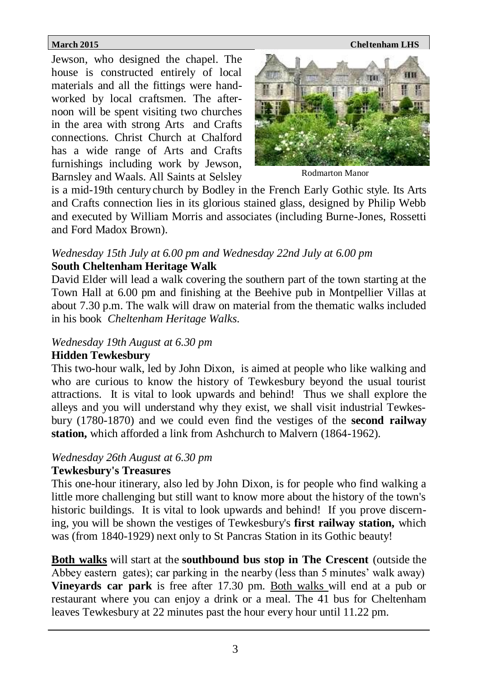Jewson, who designed the chapel. The house is constructed entirely of local materials and all the fittings were handworked by local craftsmen. The afternoon will be spent visiting two churches in the area with strong Arts and Crafts connections. Christ Church at Chalford has a wide range of Arts and Crafts furnishings including work by Jewson, Barnsley and Waals. All Saints at Selsley



Rodmarton Manor

is a mid-19th centurychurch by Bodley in the French Early Gothic style. Its Arts and Crafts connection lies in its glorious stained glass, designed by Philip Webb and executed by William Morris and associates (including Burne-Jones, Rossetti and Ford Madox Brown).

### *Wednesday 15th July at 6.00 pm and Wednesday 22nd July at 6.00 pm* **South Cheltenham Heritage Walk**

David Elder will lead a walk covering the southern part of the town starting at the Town Hall at 6.00 pm and finishing at the Beehive pub in Montpellier Villas at about 7.30 p.m. The walk will draw on material from the thematic walks included in his book *Cheltenham Heritage Walks*.

### *Wednesday 19th August at 6.30 pm*

### **Hidden Tewkesbury**

This two-hour walk, led by John Dixon, is aimed at people who like walking and who are curious to know the history of Tewkesbury beyond the usual tourist attractions. It is vital to look upwards and behind! Thus we shall explore the alleys and you will understand why they exist, we shall visit industrial Tewkesbury (1780-1870) and we could even find the vestiges of the **second railway station,** which afforded a link from Ashchurch to Malvern (1864-1962).

### *Wednesday 26th August at 6.30 pm*

### **Tewkesbury's Treasures**

This one-hour itinerary, also led by John Dixon, is for people who find walking a little more challenging but still want to know more about the history of the town's historic buildings. It is vital to look upwards and behind! If you prove discerning, you will be shown the vestiges of Tewkesbury's **first railway station,** which was (from 1840-1929) next only to St Pancras Station in its Gothic beauty!

**Both walks** will start at the **southbound bus stop in The Crescent** (outside the Abbey eastern gates); car parking in the nearby (less than 5 minutes' walk away) **Vineyards car park** is free after 17.30 pm. Both walks will end at a pub or restaurant where you can enjoy a drink or a meal. The 41 bus for Cheltenham leaves Tewkesbury at 22 minutes past the hour every hour until 11.22 pm.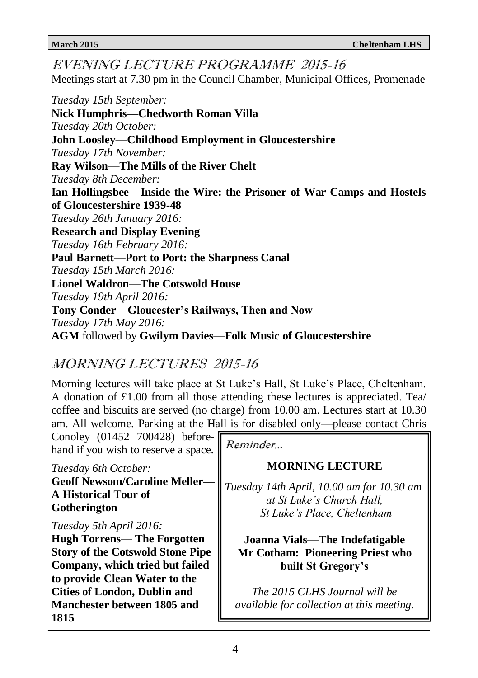**Paul Barnett—Port to Port: the Sharpness Canal**<br>Tuggday 15th March 2016 EVENING LECTURE PROGRAMME 2015-16 Meetings start at 7.30 pm in the Council Chamber, Municipal Offices, Promenade *Tuesday 15th September:* **Nick Humphris—Chedworth Roman Villa** *Tuesday 20th October:* **John Loosley—Childhood Employment in Gloucestershire** *Tuesday 17th November:* **Ray Wilson—The Mills of the River Chelt** *Tuesday 8th December:* **Ian Hollingsbee—Inside the Wire: the Prisoner of War Camps and Hostels of Gloucestershire 1939-48** *Tuesday 26th January 2016:* **Research and Display Evening** *Tuesday 16th February 2016: Tuesday 15th March 2016:* **Lionel Waldron—The Cotswold House**  *Tuesday 19th April 2016:* **Tony Conder—Gloucester's Railways, Then and Now** *Tuesday 17th May 2016:* **AGM** followed by **Gwilym Davies—Folk Music of Gloucestershire**

# MORNING LECTURES 2015-16

Morning lectures will take place at St Luke's Hall, St Luke's Place, Cheltenham. A donation of £1.00 from all those attending these lectures is appreciated. Tea/ coffee and biscuits are served (no charge) from 10.00 am. Lectures start at 10.30 am. All welcome. Parking at the Hall is for disabled only—please contact Chris

Conoley (01452 700428) beforehand if you wish to reserve a space.

*Tuesday 6th October:* **Geoff Newsom/Caroline Meller— A Historical Tour of Gotherington**

*Tuesday 5th April 2016:*

**Hugh Torrens— The Forgotten Story of the Cotswold Stone Pipe Company, which tried but failed to provide Clean Water to the Cities of London, Dublin and Manchester between 1805 and 1815**

Reminder...

# **MORNING LECTURE**

*Tuesday 14th April, 10.00 am for 10.30 am at St Luke's Church Hall, St Luke's Place, Cheltenham*

**Joanna Vials—The Indefatigable Mr Cotham: Pioneering Priest who built St Gregory's**

*The 2015 CLHS Journal will be available for collection at this meeting.*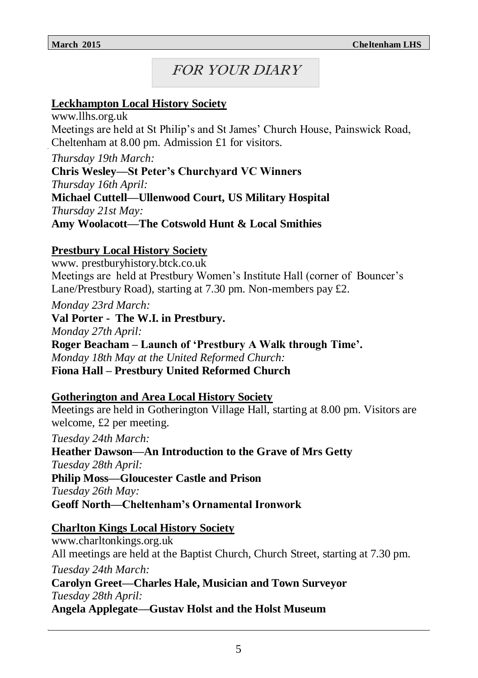# FOR YOUR DIARY

### **Leckhampton Local History Society**

www.llhs.org.uk Meetings are held at St Philip's and St James' Church House, Painswick Road, Cheltenham at 8.00 pm. Admission £1 for visitors.

*Thursday 19th March:* **Chris Wesley—St Peter's Churchyard VC Winners** *Thursday 16th April:* **Michael Cuttell—Ullenwood Court, US Military Hospital** *Thursday 21st May:* **Amy Woolacott—The Cotswold Hunt & Local Smithies**

### **Prestbury Local History Society**

www. prestburyhistory.btck.co.uk Meetings are held at Prestbury Women's Institute Hall (corner of Bouncer's Lane/Prestbury Road), starting at 7.30 pm. Non-members pay £2.

*Monday 23rd March:*

**Val Porter - The W.I. in Prestbury.**

*Monday 27th April:*

**Roger Beacham – Launch of 'Prestbury A Walk through Time'.** *Monday 18th May at the United Reformed Church:* **Fiona Hall – Prestbury United Reformed Church**

### **Gotherington and Area Local History Society**

Meetings are held in Gotherington Village Hall, starting at 8.00 pm. Visitors are welcome, £2 per meeting.

*Tuesday 24th March:*

**Heather Dawson—An Introduction to the Grave of Mrs Getty** *Tuesday 28th April:* **Philip Moss—Gloucester Castle and Prison** *Tuesday 26th May:* **Geoff North—Cheltenham's Ornamental Ironwork**

### **Charlton Kings Local History Society**

www.charltonkings.org.uk All meetings are held at the Baptist Church, Church Street, starting at 7.30 pm. *Tuesday 24th March:* **Carolyn Greet—Charles Hale, Musician and Town Surveyor** *Tuesday 28th April:* **Angela Applegate—Gustav Holst and the Holst Museum**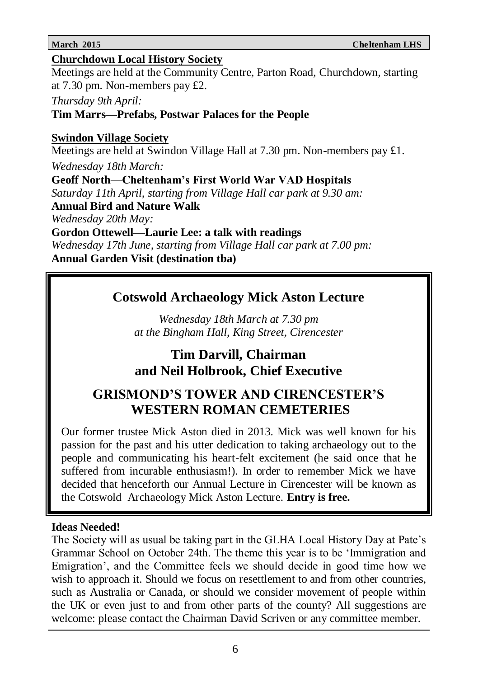### **Churchdown Local History Society**

Meetings are held at the Community Centre, Parton Road, Churchdown, starting at 7.30 pm. Non-members pay £2.

*Thursday 9th April:*

**Tim Marrs—Prefabs, Postwar Palaces for the People**

# **Swindon Village Society**

Meetings are held at Swindon Village Hall at 7.30 pm. Non-members pay £1.

*Wednesday 18th March:*

**Geoff North—Cheltenham's First World War VAD Hospitals**

*Saturday 11th April, starting from Village Hall car park at 9.30 am:*

**Annual Bird and Nature Walk** 

*Wednesday 20th May:*

**Gordon Ottewell—Laurie Lee: a talk with readings**

*Wednesday 17th June, starting from Village Hall car park at 7.00 pm:* **Annual Garden Visit (destination tba)**

# **Cotswold Archaeology Mick Aston Lecture**

*Wednesday 18th March at 7.30 pm at the Bingham Hall, King Street, Cirencester*

# **Tim Darvill, Chairman and Neil Holbrook, Chief Executive**

# **GRISMOND'S TOWER AND CIRENCESTER'S WESTERN ROMAN CEMETERIES**

Our former trustee Mick Aston died in 2013. Mick was well known for his passion for the past and his utter dedication to taking archaeology out to the people and communicating his heart-felt excitement (he said once that he suffered from incurable enthusiasm!). In order to remember Mick we have decided that henceforth our Annual Lecture in Cirencester will be known as the Cotswold Archaeology Mick Aston Lecture. **Entry is free.**

# **Ideas Needed!**

The Society will as usual be taking part in the GLHA Local History Day at Pate's Grammar School on October 24th. The theme this year is to be 'Immigration and Emigration', and the Committee feels we should decide in good time how we wish to approach it. Should we focus on resettlement to and from other countries, such as Australia or Canada, or should we consider movement of people within the UK or even just to and from other parts of the county? All suggestions are welcome: please contact the Chairman David Scriven or any committee member.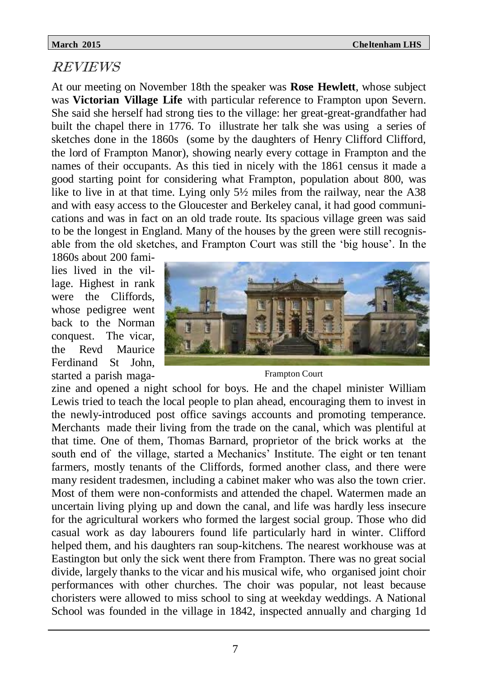### REVIEWS

At our meeting on November 18th the speaker was **Rose Hewlett**, whose subject was **Victorian Village Life** with particular reference to Frampton upon Severn. She said she herself had strong ties to the village: her great-great-grandfather had built the chapel there in 1776. To illustrate her talk she was using a series of sketches done in the 1860s (some by the daughters of Henry Clifford Clifford, the lord of Frampton Manor), showing nearly every cottage in Frampton and the names of their occupants. As this tied in nicely with the 1861 census it made a good starting point for considering what Frampton, population about 800, was like to live in at that time. Lying only 5½ miles from the railway, near the A38 and with easy access to the Gloucester and Berkeley canal, it had good communications and was in fact on an old trade route. Its spacious village green was said to be the longest in England. Many of the houses by the green were still recognisable from the old sketches, and Frampton Court was still the 'big house'. In the

1860s about 200 families lived in the village. Highest in rank were the Cliffords, whose pedigree went back to the Norman conquest. The vicar, the Revd Maurice Ferdinand St John, started a parish maga-



Frampton Court

zine and opened a night school for boys. He and the chapel minister William Lewis tried to teach the local people to plan ahead, encouraging them to invest in the newly-introduced post office savings accounts and promoting temperance. Merchants made their living from the trade on the canal, which was plentiful at that time. One of them, Thomas Barnard, proprietor of the brick works at the south end of the village, started a Mechanics' Institute. The eight or ten tenant farmers, mostly tenants of the Cliffords, formed another class, and there were many resident tradesmen, including a cabinet maker who was also the town crier. Most of them were non-conformists and attended the chapel. Watermen made an uncertain living plying up and down the canal, and life was hardly less insecure for the agricultural workers who formed the largest social group. Those who did casual work as day labourers found life particularly hard in winter. Clifford helped them, and his daughters ran soup-kitchens. The nearest workhouse was at Eastington but only the sick went there from Frampton. There was no great social divide, largely thanks to the vicar and his musical wife, who organised joint choir performances with other churches. The choir was popular, not least because choristers were allowed to miss school to sing at weekday weddings. A National School was founded in the village in 1842, inspected annually and charging 1d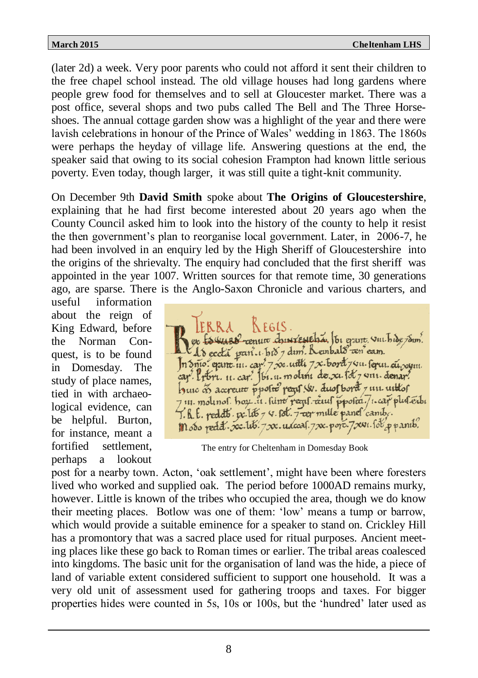(later 2d) a week. Very poor parents who could not afford it sent their children to the free chapel school instead. The old village houses had long gardens where people grew food for themselves and to sell at Gloucester market. There was a post office, several shops and two pubs called The Bell and The Three Horseshoes. The annual cottage garden show was a highlight of the year and there were lavish celebrations in honour of the Prince of Wales' wedding in 1863. The 1860s were perhaps the heyday of village life. Answering questions at the end, the speaker said that owing to its social cohesion Frampton had known little serious poverty. Even today, though larger, it was still quite a tight-knit community.

On December 9th **David Smith** spoke about **The Origins of Gloucestershire**, explaining that he had first become interested about 20 years ago when the County Council asked him to look into the history of the county to help it resist the then government's plan to reorganise local government. Later, in 2006-7, he had been involved in an enquiry led by the High Sheriff of Gloucestershire into the origins of the shrievalty. The enquiry had concluded that the first sheriff was appointed in the year 1007. Written sources for that remote time, 30 generations ago, are sparse. There is the Anglo-Saxon Chronicle and various charters, and

useful information about the reign of King Edward, before the Norman Conquest, is to be found in Domesday. The study of place names, tied in with archaeological evidence, can be helpful. Burton, for instance, meant a fortified settlement, perhaps a lookout

or Esquare content chericale har to exerce vil hide sam. As eccla part. 1. bis 7 dim. Reinbald cen' eam. n Snio. gam. 111. cap? 7 xx. utili 7 x. bord 7 411. feru. cu. xym. cap<sup>7</sup>. Libri. 11. cap? Ibi. 11. molini de. x1. fot 7 v111. denan? hune of accreute ppoter regis (s. duos bord 7 un untos 7 in. mounol. hou. in. fune pegil. ceul ppolea. 7. cap plus érbi 7. h. f. reddts v. 105 7 4. 18t. 7-eer mille panel cambe.  $m$  obo redd.  $xc.116.7xc. udc$ as. 7xx. porc. 7xx1. sol p panib.

The entry for Cheltenham in Domesday Book

post for a nearby town. Acton, 'oak settlement', might have been where foresters lived who worked and supplied oak. The period before 1000AD remains murky, however. Little is known of the tribes who occupied the area, though we do know their meeting places. Botlow was one of them: 'low' means a tump or barrow, which would provide a suitable eminence for a speaker to stand on. Crickley Hill has a promontory that was a sacred place used for ritual purposes. Ancient meeting places like these go back to Roman times or earlier. The tribal areas coalesced into kingdoms. The basic unit for the organisation of land was the hide, a piece of land of variable extent considered sufficient to support one household. It was a very old unit of assessment used for gathering troops and taxes. For bigger properties hides were counted in 5s, 10s or 100s, but the 'hundred' later used as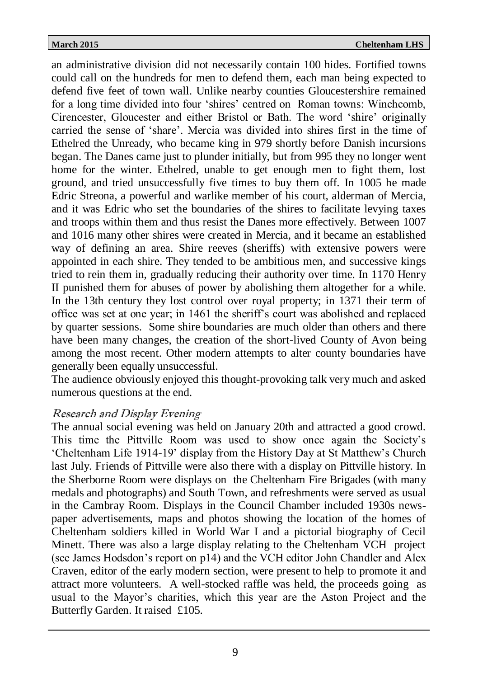an administrative division did not necessarily contain 100 hides. Fortified towns could call on the hundreds for men to defend them, each man being expected to defend five feet of town wall. Unlike nearby counties Gloucestershire remained for a long time divided into four 'shires' centred on Roman towns: Winchcomb, Cirencester, Gloucester and either Bristol or Bath. The word 'shire' originally carried the sense of 'share'. Mercia was divided into shires first in the time of Ethelred the Unready, who became king in 979 shortly before Danish incursions began. The Danes came just to plunder initially, but from 995 they no longer went home for the winter. Ethelred, unable to get enough men to fight them, lost ground, and tried unsuccessfully five times to buy them off. In 1005 he made Edric Streona, a powerful and warlike member of his court, alderman of Mercia, and it was Edric who set the boundaries of the shires to facilitate levying taxes and troops within them and thus resist the Danes more effectively. Between 1007 and 1016 many other shires were created in Mercia, and it became an established way of defining an area. Shire reeves (sheriffs) with extensive powers were appointed in each shire. They tended to be ambitious men, and successive kings tried to rein them in, gradually reducing their authority over time. In 1170 Henry II punished them for abuses of power by abolishing them altogether for a while. In the 13th century they lost control over royal property; in 1371 their term of office was set at one year; in 1461 the sheriff's court was abolished and replaced by quarter sessions. Some shire boundaries are much older than others and there have been many changes, the creation of the short-lived County of Avon being among the most recent. Other modern attempts to alter county boundaries have generally been equally unsuccessful.

The audience obviously enjoyed this thought-provoking talk very much and asked numerous questions at the end.

### Research and Display Evening

The annual social evening was held on January 20th and attracted a good crowd. This time the Pittville Room was used to show once again the Society's 'Cheltenham Life 1914-19' display from the History Day at St Matthew's Church last July. Friends of Pittville were also there with a display on Pittville history. In the Sherborne Room were displays on the Cheltenham Fire Brigades (with many medals and photographs) and South Town, and refreshments were served as usual in the Cambray Room. Displays in the Council Chamber included 1930s newspaper advertisements, maps and photos showing the location of the homes of Cheltenham soldiers killed in World War I and a pictorial biography of Cecil Minett. There was also a large display relating to the Cheltenham VCH project (see James Hodsdon's report on p14) and the VCH editor John Chandler and Alex Craven, editor of the early modern section, were present to help to promote it and attract more volunteers. A well-stocked raffle was held, the proceeds going as usual to the Mayor's charities, which this year are the Aston Project and the Butterfly Garden. It raised £105.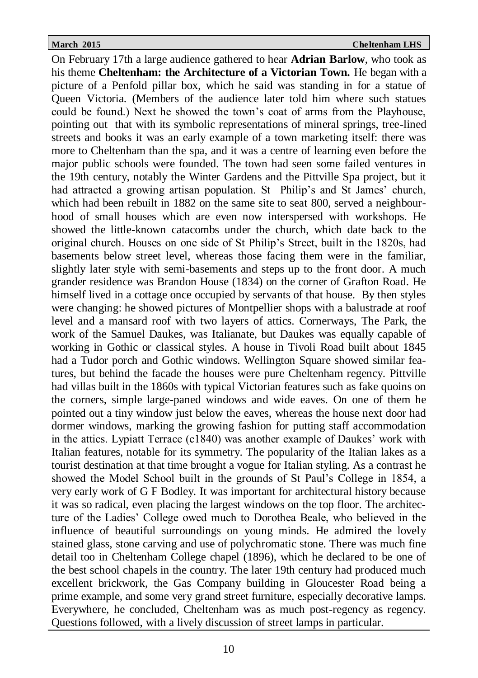On February 17th a large audience gathered to hear **Adrian Barlow**, who took as his theme **Cheltenham: the Architecture of a Victorian Town.** He began with a picture of a Penfold pillar box, which he said was standing in for a statue of Queen Victoria. (Members of the audience later told him where such statues could be found.) Next he showed the town's coat of arms from the Playhouse, pointing out that with its symbolic representations of mineral springs, tree-lined streets and books it was an early example of a town marketing itself: there was more to Cheltenham than the spa, and it was a centre of learning even before the major public schools were founded. The town had seen some failed ventures in the 19th century, notably the Winter Gardens and the Pittville Spa project, but it had attracted a growing artisan population. St Philip's and St James' church, which had been rebuilt in 1882 on the same site to seat 800, served a neighbourhood of small houses which are even now interspersed with workshops. He showed the little-known catacombs under the church, which date back to the original church. Houses on one side of St Philip's Street, built in the 1820s, had basements below street level, whereas those facing them were in the familiar, slightly later style with semi-basements and steps up to the front door. A much grander residence was Brandon House (1834) on the corner of Grafton Road. He himself lived in a cottage once occupied by servants of that house. By then styles were changing: he showed pictures of Montpellier shops with a balustrade at roof level and a mansard roof with two layers of attics. Cornerways, The Park, the work of the Samuel Daukes, was Italianate, but Daukes was equally capable of working in Gothic or classical styles. A house in Tivoli Road built about 1845 had a Tudor porch and Gothic windows. Wellington Square showed similar features, but behind the facade the houses were pure Cheltenham regency. Pittville had villas built in the 1860s with typical Victorian features such as fake quoins on the corners, simple large-paned windows and wide eaves. On one of them he pointed out a tiny window just below the eaves, whereas the house next door had dormer windows, marking the growing fashion for putting staff accommodation in the attics. Lypiatt Terrace (c1840) was another example of Daukes' work with Italian features, notable for its symmetry. The popularity of the Italian lakes as a tourist destination at that time brought a vogue for Italian styling. As a contrast he showed the Model School built in the grounds of St Paul's College in 1854, a very early work of G F Bodley. It was important for architectural history because it was so radical, even placing the largest windows on the top floor. The architecture of the Ladies' College owed much to Dorothea Beale, who believed in the influence of beautiful surroundings on young minds. He admired the lovely stained glass, stone carving and use of polychromatic stone. There was much fine detail too in Cheltenham College chapel (1896), which he declared to be one of the best school chapels in the country. The later 19th century had produced much excellent brickwork, the Gas Company building in Gloucester Road being a prime example, and some very grand street furniture, especially decorative lamps. Everywhere, he concluded, Cheltenham was as much post-regency as regency. Questions followed, with a lively discussion of street lamps in particular.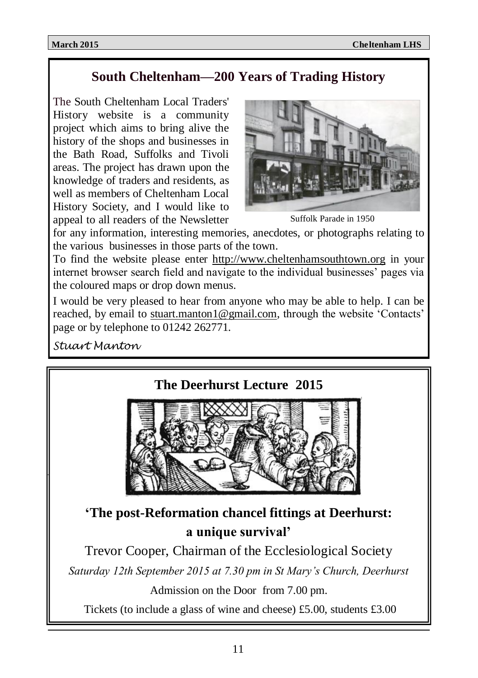# **South Cheltenham—200 Years of Trading History**

The South Cheltenham Local Traders' History website is a community project which aims to bring alive the history of the shops and businesses in the Bath Road, Suffolks and Tivoli areas. The project has drawn upon the knowledge of traders and residents, as well as members of Cheltenham Local History Society, and I would like to appeal to all readers of the Newsletter



Suffolk Parade in 1950

for any information, interesting memories, anecdotes, or photographs relating to the various businesses in those parts of the town.

To find the website please enter <http://www.cheltenhamsouthtown.org> in your internet browser search field and navigate to the individual businesses' pages via the coloured maps or drop down menus.

I would be very pleased to hear from anyone who may be able to help. I can be reached, by email to [stuart.manton1@gmail.com,](mailto:stuart.manton1@gmail.com) through the website 'Contacts' page or by telephone to 01242 262771.

*Stuart Manton*

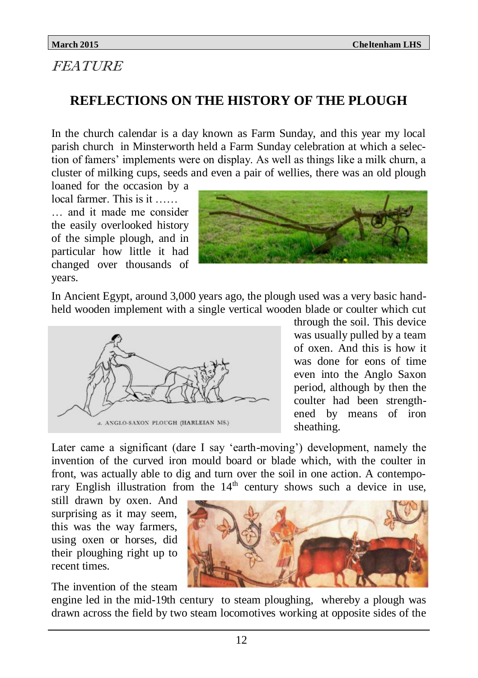# FEATURE

# **REFLECTIONS ON THE HISTORY OF THE PLOUGH**

In the church calendar is a day known as Farm Sunday, and this year my local parish church in Minsterworth held a Farm Sunday celebration at which a selection of famers' implements were on display. As well as things like a milk churn, a cluster of milking cups, seeds and even a pair of wellies, there was an old plough

loaned for the occasion by a local farmer. This is it

… and it made me consider the easily overlooked history of the simple plough, and in particular how little it had changed over thousands of years.



In Ancient Egypt, around 3,000 years ago, the plough used was a very basic handheld wooden implement with a single vertical wooden blade or coulter which cut



through the soil. This device was usually pulled by a team of oxen. And this is how it was done for eons of time even into the Anglo Saxon period, although by then the coulter had been strengthened by means of iron sheathing.

Later came a significant (dare I say 'earth-moving') development, namely the invention of the curved iron mould board or blade which, with the coulter in front, was actually able to dig and turn over the soil in one action. A contemporary English illustration from the  $14<sup>th</sup>$  century shows such a device in use,

still drawn by oxen. And surprising as it may seem, this was the way farmers, using oxen or horses, did their ploughing right up to recent times.

The invention of the steam

engine led in the mid-19th century to steam ploughing, whereby a plough was drawn across the field by two steam locomotives working at opposite sides of the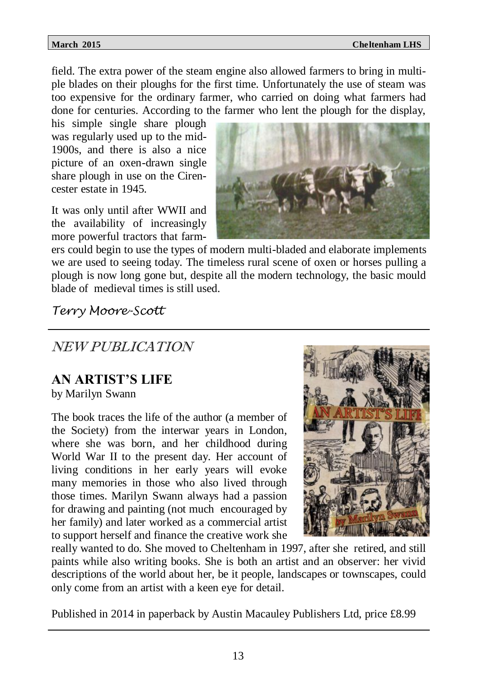field. The extra power of the steam engine also allowed farmers to bring in multiple blades on their ploughs for the first time. Unfortunately the use of steam was too expensive for the ordinary farmer, who carried on doing what farmers had done for centuries. According to the farmer who lent the plough for the display,

his simple single share plough was regularly used up to the mid-1900s, and there is also a nice picture of an oxen-drawn single share plough in use on the Cirencester estate in 1945.

It was only until after WWII and the availability of increasingly more powerful tractors that farm-



ers could begin to use the types of modern multi-bladed and elaborate implements we are used to seeing today. The timeless rural scene of oxen or horses pulling a plough is now long gone but, despite all the modern technology, the basic mould blade of medieval times is still used.

*Terry Moore-Scott*

# NEW PUBLICATION

# **AN ARTIST'S LIFE**

by Marilyn Swann

The book traces the life of the author (a member of the Society) from the interwar years in London, where she was born, and her childhood during World War II to the present day. Her account of living conditions in her early years will evoke many memories in those who also lived through those times. Marilyn Swann always had a passion for drawing and painting (not much encouraged by her family) and later worked as a commercial artist to support herself and finance the creative work she



really wanted to do. She moved to Cheltenham in 1997, after she retired, and still paints while also writing books. She is both an artist and an observer: her vivid descriptions of the world about her, be it people, landscapes or townscapes, could only come from an artist with a keen eye for detail.

Published in 2014 in paperback by Austin Macauley Publishers Ltd, price £8.99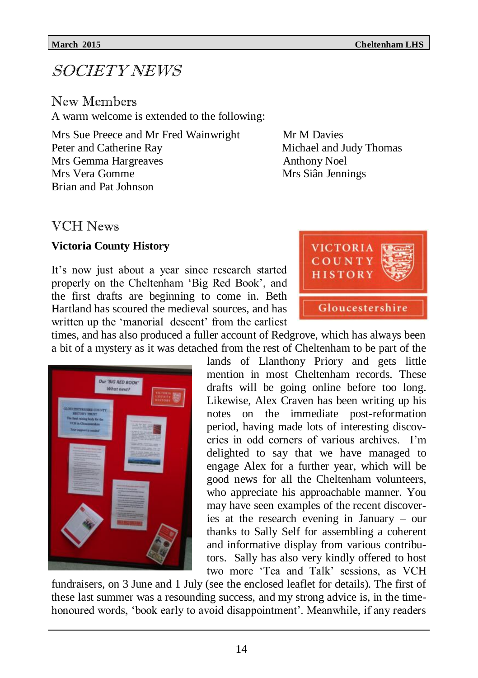# SOCIETY NEWS

New Members A warm welcome is extended to the following:

Mrs Sue Preece and Mr Fred Wainwright Mr M Davies Peter and Catherine Ray Michael and Judy Thomas Mrs Gemma Hargreaves and Anthony Noel<br>Mrs Vera Gomme Mrs Siân Ienn Brian and Pat Johnson

Mrs Siân Jennings

# VCH News

### **Victoria County History**

It's now just about a year since research started properly on the Cheltenham 'Big Red Book', and the first drafts are beginning to come in. Beth Hartland has scoured the medieval sources, and has written up the 'manorial descent' from the earliest



times, and has also produced a fuller account of Redgrove, which has always been a bit of a mystery as it was detached from the rest of Cheltenham to be part of the



lands of Llanthony Priory and gets little mention in most Cheltenham records. These drafts will be going online before too long. Likewise, Alex Craven has been writing up his notes on the immediate post-reformation period, having made lots of interesting discoveries in odd corners of various archives. I'm delighted to say that we have managed to engage Alex for a further year, which will be good news for all the Cheltenham volunteers, who appreciate his approachable manner. You may have seen examples of the recent discoveries at the research evening in January – our thanks to Sally Self for assembling a coherent and informative display from various contributors. Sally has also very kindly offered to host two more 'Tea and Talk' sessions, as VCH

fundraisers, on 3 June and 1 July (see the enclosed leaflet for details). The first of these last summer was a resounding success, and my strong advice is, in the timehonoured words, 'book early to avoid disappointment'. Meanwhile, if any readers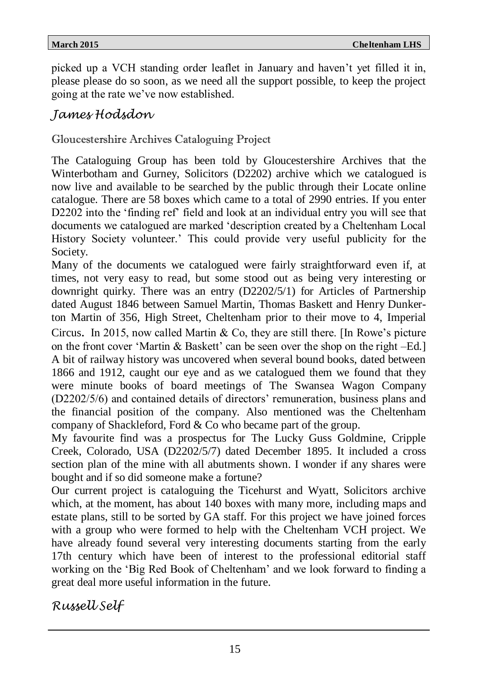picked up a VCH standing order leaflet in January and haven't yet filled it in, please please do so soon, as we need all the support possible, to keep the project going at the rate we've now established.

# *James Hodsdon*

Gloucestershire Archives Cataloguing Project

The Cataloguing Group has been told by Gloucestershire Archives that the Winterbotham and Gurney, Solicitors (D2202) archive which we catalogued is now live and available to be searched by the public through their Locate online catalogue. There are 58 boxes which came to a total of 2990 entries. If you enter D2202 into the 'finding ref' field and look at an individual entry you will see that documents we catalogued are marked 'description created by a Cheltenham Local History Society volunteer.' This could provide very useful publicity for the Society.

Many of the documents we catalogued were fairly straightforward even if, at times, not very easy to read, but some stood out as being very interesting or downright quirky. There was an entry (D2202/5/1) for Articles of Partnership dated August 1846 between Samuel Martin, Thomas Baskett and Henry Dunkerton Martin of 356, High Street, Cheltenham prior to their move to 4, Imperial Circus. In 2015, now called Martin & Co, they are still there. [In Rowe's picture on the front cover 'Martin & Baskett' can be seen over the shop on the right  $-Ed$ .] A bit of railway history was uncovered when several bound books, dated between 1866 and 1912, caught our eye and as we catalogued them we found that they were minute books of board meetings of The Swansea Wagon Company (D2202/5/6) and contained details of directors' remuneration, business plans and the financial position of the company. Also mentioned was the Cheltenham company of Shackleford, Ford & Co who became part of the group.

My favourite find was a prospectus for The Lucky Guss Goldmine, Cripple Creek, Colorado, USA (D2202/5/7) dated December 1895. It included a cross section plan of the mine with all abutments shown. I wonder if any shares were bought and if so did someone make a fortune?

Our current project is cataloguing the Ticehurst and Wyatt, Solicitors archive which, at the moment, has about 140 boxes with many more, including maps and estate plans, still to be sorted by GA staff. For this project we have joined forces with a group who were formed to help with the Cheltenham VCH project. We have already found several very interesting documents starting from the early 17th century which have been of interest to the professional editorial staff working on the 'Big Red Book of Cheltenham' and we look forward to finding a great deal more useful information in the future.

*Russell Self*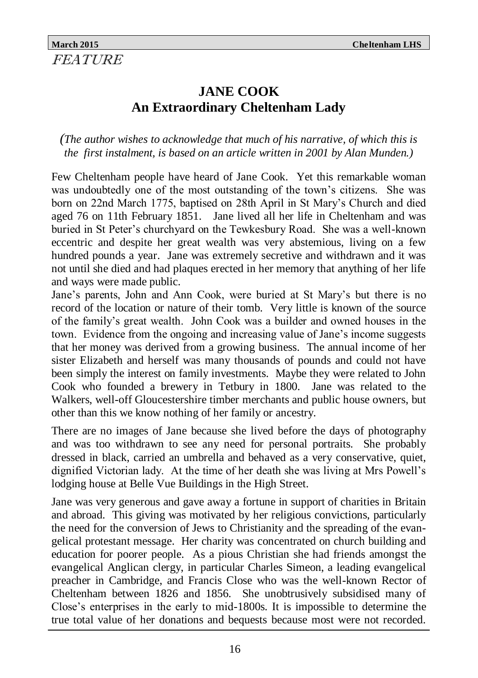# **JANE COOK An Extraordinary Cheltenham Lady**

*(The author wishes to acknowledge that much of his narrative, of which this is the first instalment, is based on an article written in 2001 by Alan Munden.)*

Few Cheltenham people have heard of Jane Cook. Yet this remarkable woman was undoubtedly one of the most outstanding of the town's citizens. She was born on 22nd March 1775, baptised on 28th April in St Mary's Church and died aged 76 on 11th February 1851. Jane lived all her life in Cheltenham and was buried in St Peter's churchyard on the Tewkesbury Road. She was a well-known eccentric and despite her great wealth was very abstemious, living on a few hundred pounds a year. Jane was extremely secretive and withdrawn and it was not until she died and had plaques erected in her memory that anything of her life and ways were made public.

Jane's parents, John and Ann Cook, were buried at St Mary's but there is no record of the location or nature of their tomb. Very little is known of the source of the family's great wealth. John Cook was a builder and owned houses in the town. Evidence from the ongoing and increasing value of Jane's income suggests that her money was derived from a growing business. The annual income of her sister Elizabeth and herself was many thousands of pounds and could not have been simply the interest on family investments. Maybe they were related to John Cook who founded a brewery in Tetbury in 1800. Jane was related to the Walkers, well-off Gloucestershire timber merchants and public house owners, but other than this we know nothing of her family or ancestry.

There are no images of Jane because she lived before the days of photography and was too withdrawn to see any need for personal portraits. She probably dressed in black, carried an umbrella and behaved as a very conservative, quiet, dignified Victorian lady. At the time of her death she was living at Mrs Powell's lodging house at Belle Vue Buildings in the High Street.

Jane was very generous and gave away a fortune in support of charities in Britain and abroad. This giving was motivated by her religious convictions, particularly the need for the conversion of Jews to Christianity and the spreading of the evangelical protestant message. Her charity was concentrated on church building and education for poorer people. As a pious Christian she had friends amongst the evangelical Anglican clergy, in particular Charles Simeon, a leading evangelical preacher in Cambridge, and Francis Close who was the well-known Rector of Cheltenham between 1826 and 1856. She unobtrusively subsidised many of Close's enterprises in the early to mid-1800s. It is impossible to determine the true total value of her donations and bequests because most were not recorded.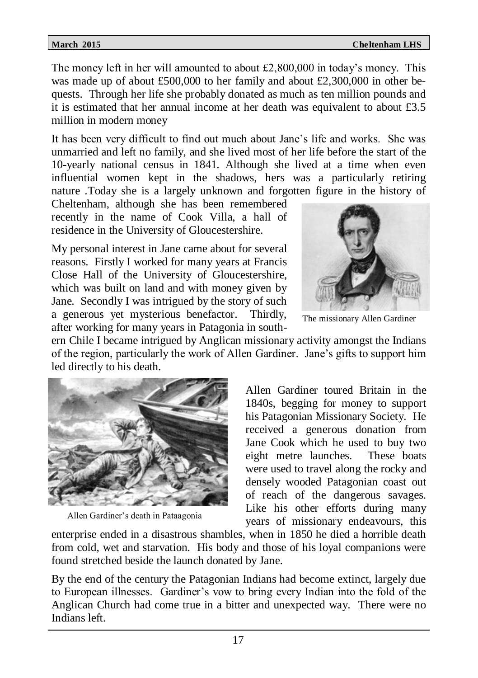The money left in her will amounted to about £2,800,000 in today's money. This was made up of about £500,000 to her family and about £2,300,000 in other bequests. Through her life she probably donated as much as ten million pounds and it is estimated that her annual income at her death was equivalent to about £3.5 million in modern money

It has been very difficult to find out much about Jane's life and works. She was unmarried and left no family, and she lived most of her life before the start of the 10-yearly national census in 1841. Although she lived at a time when even influential women kept in the shadows, hers was a particularly retiring nature .Today she is a largely unknown and forgotten figure in the history of

Cheltenham, although she has been remembered recently in the name of Cook Villa, a hall of residence in the University of Gloucestershire.

My personal interest in Jane came about for several reasons. Firstly I worked for many years at Francis Close Hall of the University of Gloucestershire, which was built on land and with money given by Jane. Secondly I was intrigued by the story of such a generous yet mysterious benefactor. Thirdly, after working for many years in Patagonia in south-



The missionary Allen Gardiner

ern Chile I became intrigued by Anglican missionary activity amongst the Indians of the region, particularly the work of Allen Gardiner. Jane's gifts to support him led directly to his death.



Allen Gardiner's death in Pataagonia

Allen Gardiner toured Britain in the 1840s, begging for money to support his Patagonian Missionary Society. He received a generous donation from Jane Cook which he used to buy two eight metre launches. These boats were used to travel along the rocky and densely wooded Patagonian coast out of reach of the dangerous savages. Like his other efforts during many years of missionary endeavours, this

enterprise ended in a disastrous shambles, when in 1850 he died a horrible death from cold, wet and starvation. His body and those of his loyal companions were found stretched beside the launch donated by Jane.

By the end of the century the Patagonian Indians had become extinct, largely due to European illnesses. Gardiner's vow to bring every Indian into the fold of the Anglican Church had come true in a bitter and unexpected way. There were no Indians left.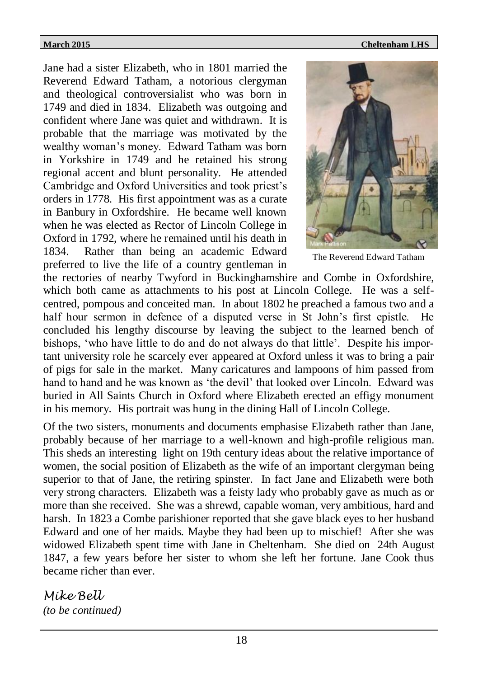Jane had a sister Elizabeth, who in 1801 married the Reverend Edward Tatham, a notorious clergyman and theological controversialist who was born in 1749 and died in 1834. Elizabeth was outgoing and confident where Jane was quiet and withdrawn. It is probable that the marriage was motivated by the wealthy woman's money. Edward Tatham was born in Yorkshire in 1749 and he retained his strong regional accent and blunt personality. He attended Cambridge and Oxford Universities and took priest's orders in 1778. His first appointment was as a curate in Banbury in Oxfordshire. He became well known when he was elected as Rector of Lincoln College in Oxford in 1792, where he remained until his death in 1834. Rather than being an academic Edward preferred to live the life of a country gentleman in



The Reverend Edward Tatham

the rectories of nearby Twyford in Buckinghamshire and Combe in Oxfordshire, which both came as attachments to his post at Lincoln College. He was a selfcentred, pompous and conceited man. In about 1802 he preached a famous two and a half hour sermon in defence of a disputed verse in St John's first epistle. He concluded his lengthy discourse by leaving the subject to the learned bench of bishops, 'who have little to do and do not always do that little'. Despite his important university role he scarcely ever appeared at Oxford unless it was to bring a pair of pigs for sale in the market. Many caricatures and lampoons of him passed from hand to hand and he was known as 'the devil' that looked over Lincoln. Edward was buried in All Saints Church in Oxford where Elizabeth erected an effigy monument in his memory. His portrait was hung in the dining Hall of Lincoln College.

Of the two sisters, monuments and documents emphasise Elizabeth rather than Jane, probably because of her marriage to a well-known and high-profile religious man. This sheds an interesting light on 19th century ideas about the relative importance of women, the social position of Elizabeth as the wife of an important clergyman being superior to that of Jane, the retiring spinster. In fact Jane and Elizabeth were both very strong characters. Elizabeth was a feisty lady who probably gave as much as or more than she received. She was a shrewd, capable woman, very ambitious, hard and harsh. In 1823 a Combe parishioner reported that she gave black eyes to her husband Edward and one of her maids. Maybe they had been up to mischief! After she was widowed Elizabeth spent time with Jane in Cheltenham. She died on 24th August 1847, a few years before her sister to whom she left her fortune. Jane Cook thus became richer than ever.

*Mike Bell (to be continued)*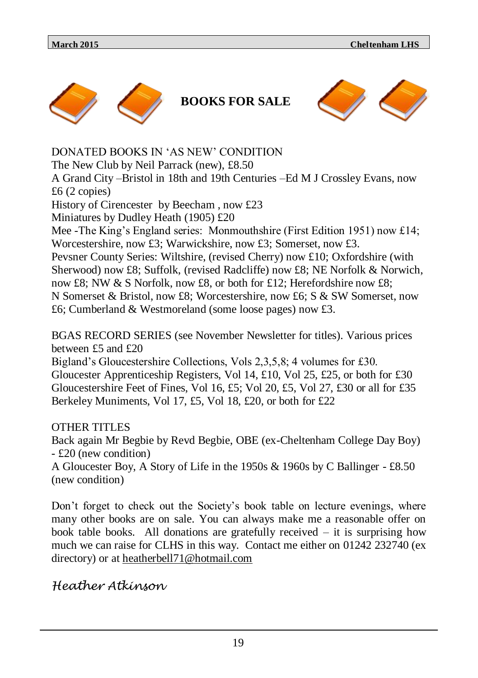





DONATED BOOKS IN 'AS NEW' CONDITION The New Club by Neil Parrack (new), £8.50 A Grand City –Bristol in 18th and 19th Centuries –Ed M J Crossley Evans, now £6 (2 copies) History of Cirencester by Beecham , now £23 Miniatures by Dudley Heath (1905) £20 Mee -The King's England series: Monmouthshire (First Edition 1951) now £14; Worcestershire, now £3; Warwickshire, now £3; Somerset, now £3. Pevsner County Series: Wiltshire, (revised Cherry) now £10; Oxfordshire (with Sherwood) now £8; Suffolk, (revised Radcliffe) now £8; NE Norfolk & Norwich, now £8; NW & S Norfolk, now £8, or both for £12; Herefordshire now £8; N Somerset & Bristol, now £8; Worcestershire, now £6; S & SW Somerset, now £6; Cumberland & Westmoreland (some loose pages) now £3.

BGAS RECORD SERIES (see November Newsletter for titles). Various prices between £5 and £20

Bigland's Gloucestershire Collections, Vols 2,3,5,8; 4 volumes for £30. Gloucester Apprenticeship Registers, Vol 14, £10, Vol 25, £25, or both for £30 Gloucestershire Feet of Fines, Vol 16, £5; Vol 20, £5, Vol 27, £30 or all for £35 Berkeley Muniments, Vol 17, £5, Vol 18, £20, or both for £22

### OTHER TITLES

Back again Mr Begbie by Revd Begbie, OBE (ex-Cheltenham College Day Boy) - £20 (new condition)

A Gloucester Boy, A Story of Life in the 1950s & 1960s by C Ballinger - £8.50 (new condition)

Don't forget to check out the Society's book table on lecture evenings, where many other books are on sale. You can always make me a reasonable offer on book table books. All donations are gratefully received  $-$  it is surprising how much we can raise for CLHS in this way. Contact me either on 01242 232740 (ex directory) or at heatherbell71@hotmail.com

# *Heather Atkinson*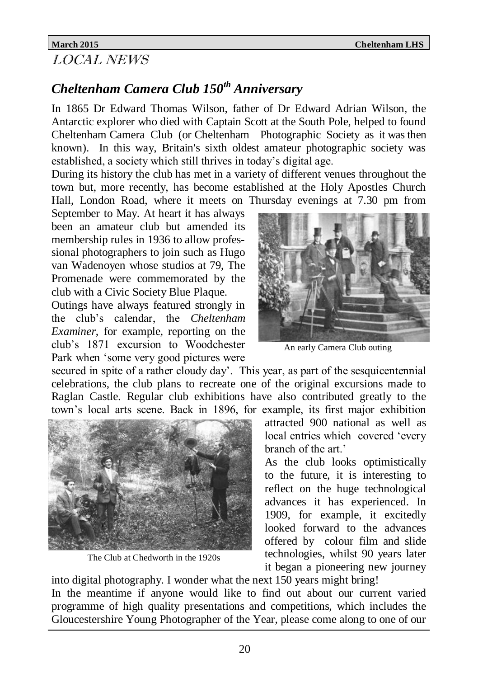# LOCAL NEWS

# *Cheltenham Camera Club 150th Anniversary*

In 1865 Dr Edward Thomas Wilson, father of Dr Edward Adrian Wilson, the Antarctic explorer who died with Captain Scott at the South Pole, helped to found Cheltenham Camera Club (or Cheltenham Photographic Society as it was then known). In this way, Britain's sixth oldest amateur photographic society was established, a society which still thrives in today's digital age.

During its history the club has met in a variety of different venues throughout the town but, more recently, has become established at the Holy Apostles Church Hall, London Road, where it meets on Thursday evenings at 7.30 pm from

September to May. At heart it has always been an amateur club but amended its membership rules in 1936 to allow professional photographers to join such as Hugo van Wadenoyen whose studios at 79, The Promenade were commemorated by the club with a Civic Society Blue Plaque.

Outings have always featured strongly in the club's calendar, the *Cheltenham Examiner*, for example, reporting on the club's 1871 excursion to Woodchester Park when 'some very good pictures were

secured in spite of a rather cloudy day'. This year, as part of the sesquicentennial celebrations, the club plans to recreate one of the original excursions made to Raglan Castle. Regular club exhibitions have also contributed greatly to the town's local arts scene. Back in 1896, for example, its first major exhibition



The Club at Chedworth in the 1920s



An early Camera Club outing

attracted 900 national as well as local entries which covered 'every branch of the art.'

As the club looks optimistically to the future, it is interesting to reflect on the huge technological advances it has experienced. In 1909, for example, it excitedly looked forward to the advances offered by colour film and slide technologies, whilst 90 years later it began a pioneering new journey

into digital photography. I wonder what the next 150 years might bring! In the meantime if anyone would like to find out about our current varied programme of high quality presentations and competitions, which includes the Gloucestershire Young Photographer of the Year, please come along to one of our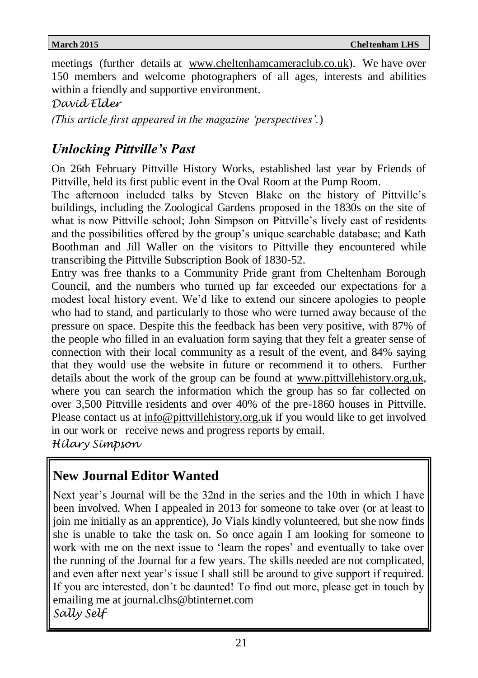meetings (further details at www.cheltenhamcameraclub.co.uk). We have over 150 members and welcome photographers of all ages, interests and abilities within a friendly and supportive environment.

*David Elder* 

*(This article first appeared in the magazine 'perspectives'.*)

# *Unlocking Pittville's Past*

On 26th February Pittville History Works, established last year by Friends of Pittville, held its first public event in the Oval Room at the Pump Room.

The afternoon included talks by Steven Blake on the history of Pittville's buildings, including the Zoological Gardens proposed in the 1830s on the site of what is now Pittville school; John Simpson on Pittville's lively cast of residents and the possibilities offered by the group's unique searchable database; and Kath Boothman and Jill Waller on the visitors to Pittville they encountered while transcribing the Pittville Subscription Book of 1830-52.

Entry was free thanks to a Community Pride grant from Cheltenham Borough Council, and the numbers who turned up far exceeded our expectations for a modest local history event. We'd like to extend our sincere apologies to people who had to stand, and particularly to those who were turned away because of the pressure on space. Despite this the feedback has been very positive, with 87% of the people who filled in an evaluation form saying that they felt a greater sense of connection with their local community as a result of the event, and 84% saying that they would use the website in future or recommend it to others. Further details about the work of the group can be found at www.pittvillehistory.org.uk, where you can search the information which the group has so far collected on over 3,500 Pittville residents and over 40% of the pre-1860 houses in Pittville. Please contact us at info@pittvillehistory.org.uk if you would like to get involved in our work or receive news and progress reports by email. *Hilary Simpson*

# **New Journal Editor Wanted**

Next year's Journal will be the 32nd in the series and the 10th in which I have been involved. When I appealed in 2013 for someone to take over (or at least to join me initially as an apprentice), Jo Vials kindly volunteered, but she now finds she is unable to take the task on. So once again I am looking for someone to work with me on the next issue to 'learn the ropes' and eventually to take over the running of the Journal for a few years. The skills needed are not complicated, and even after next year's issue I shall still be around to give support if required. If you are interested, don't be daunted! To find out more, please get in touch by emailing me at journal.clhs@btinternet.com *Sally Self*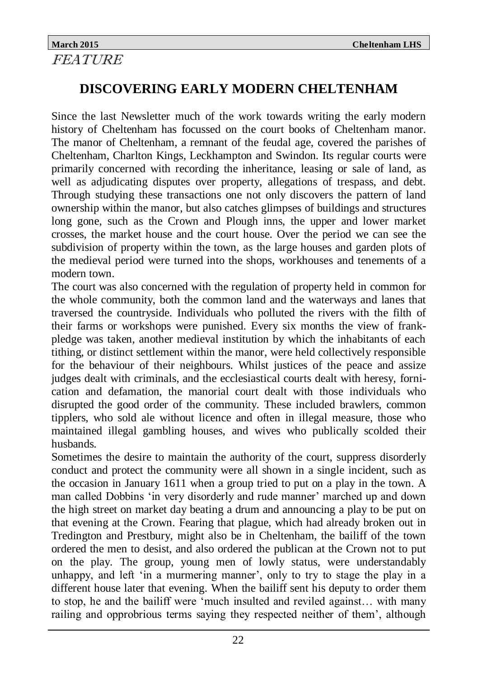# **March 2015 Cheltenham LHS FEATURE**

# **DISCOVERING EARLY MODERN CHELTENHAM**

Since the last Newsletter much of the work towards writing the early modern history of Cheltenham has focussed on the court books of Cheltenham manor. The manor of Cheltenham, a remnant of the feudal age, covered the parishes of Cheltenham, Charlton Kings, Leckhampton and Swindon. Its regular courts were primarily concerned with recording the inheritance, leasing or sale of land, as well as adjudicating disputes over property, allegations of trespass, and debt. Through studying these transactions one not only discovers the pattern of land ownership within the manor, but also catches glimpses of buildings and structures long gone, such as the Crown and Plough inns, the upper and lower market crosses, the market house and the court house. Over the period we can see the subdivision of property within the town, as the large houses and garden plots of the medieval period were turned into the shops, workhouses and tenements of a modern town.

The court was also concerned with the regulation of property held in common for the whole community, both the common land and the waterways and lanes that traversed the countryside. Individuals who polluted the rivers with the filth of their farms or workshops were punished. Every six months the view of frankpledge was taken, another medieval institution by which the inhabitants of each tithing, or distinct settlement within the manor, were held collectively responsible for the behaviour of their neighbours. Whilst justices of the peace and assize judges dealt with criminals, and the ecclesiastical courts dealt with heresy, fornication and defamation, the manorial court dealt with those individuals who disrupted the good order of the community. These included brawlers, common tipplers, who sold ale without licence and often in illegal measure, those who maintained illegal gambling houses, and wives who publically scolded their husbands.

Sometimes the desire to maintain the authority of the court, suppress disorderly conduct and protect the community were all shown in a single incident, such as the occasion in January 1611 when a group tried to put on a play in the town. A man called Dobbins 'in very disorderly and rude manner' marched up and down the high street on market day beating a drum and announcing a play to be put on that evening at the Crown. Fearing that plague, which had already broken out in Tredington and Prestbury, might also be in Cheltenham, the bailiff of the town ordered the men to desist, and also ordered the publican at the Crown not to put on the play. The group, young men of lowly status, were understandably unhappy, and left 'in a murmering manner', only to try to stage the play in a different house later that evening. When the bailiff sent his deputy to order them to stop, he and the bailiff were 'much insulted and reviled against… with many railing and opprobrious terms saying they respected neither of them', although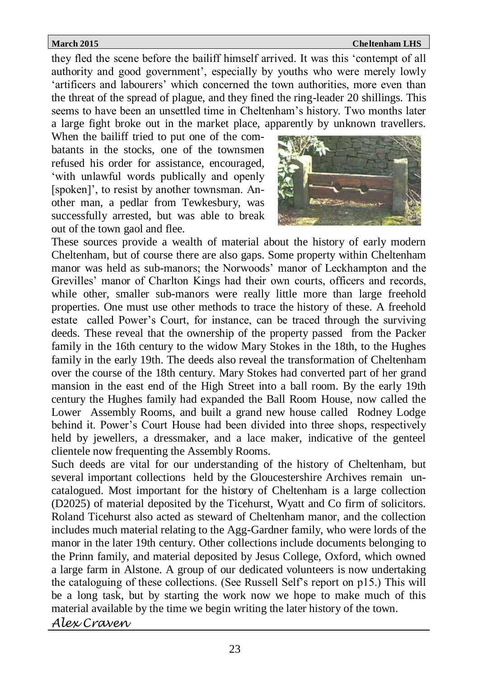they fled the scene before the bailiff himself arrived. It was this 'contempt of all authority and good government', especially by youths who were merely lowly 'artificers and labourers' which concerned the town authorities, more even than the threat of the spread of plague, and they fined the ring-leader 20 shillings. This seems to have been an unsettled time in Cheltenham's history. Two months later a large fight broke out in the market place, apparently by unknown travellers.

When the bailiff tried to put one of the combatants in the stocks, one of the townsmen refused his order for assistance, encouraged, 'with unlawful words publically and openly [spoken]', to resist by another townsman. Another man, a pedlar from Tewkesbury, was successfully arrested, but was able to break out of the town gaol and flee.



These sources provide a wealth of material about the history of early modern Cheltenham, but of course there are also gaps. Some property within Cheltenham manor was held as sub-manors; the Norwoods' manor of Leckhampton and the Grevilles' manor of Charlton Kings had their own courts, officers and records, while other, smaller sub-manors were really little more than large freehold properties. One must use other methods to trace the history of these. A freehold estate called Power's Court, for instance, can be traced through the surviving deeds. These reveal that the ownership of the property passed from the Packer family in the 16th century to the widow Mary Stokes in the 18th, to the Hughes family in the early 19th. The deeds also reveal the transformation of Cheltenham over the course of the 18th century. Mary Stokes had converted part of her grand mansion in the east end of the High Street into a ball room. By the early 19th century the Hughes family had expanded the Ball Room House, now called the Lower Assembly Rooms, and built a grand new house called Rodney Lodge behind it. Power's Court House had been divided into three shops, respectively held by jewellers, a dressmaker, and a lace maker, indicative of the genteel clientele now frequenting the Assembly Rooms.

Such deeds are vital for our understanding of the history of Cheltenham, but several important collections held by the Gloucestershire Archives remain uncatalogued. Most important for the history of Cheltenham is a large collection (D2025) of material deposited by the Ticehurst, Wyatt and Co firm of solicitors. Roland Ticehurst also acted as steward of Cheltenham manor, and the collection includes much material relating to the Agg-Gardner family, who were lords of the manor in the later 19th century. Other collections include documents belonging to the Prinn family, and material deposited by Jesus College, Oxford, which owned a large farm in Alstone. A group of our dedicated volunteers is now undertaking the cataloguing of these collections. (See Russell Self's report on p15.) This will be a long task, but by starting the work now we hope to make much of this material available by the time we begin writing the later history of the town. *Alex Craven*